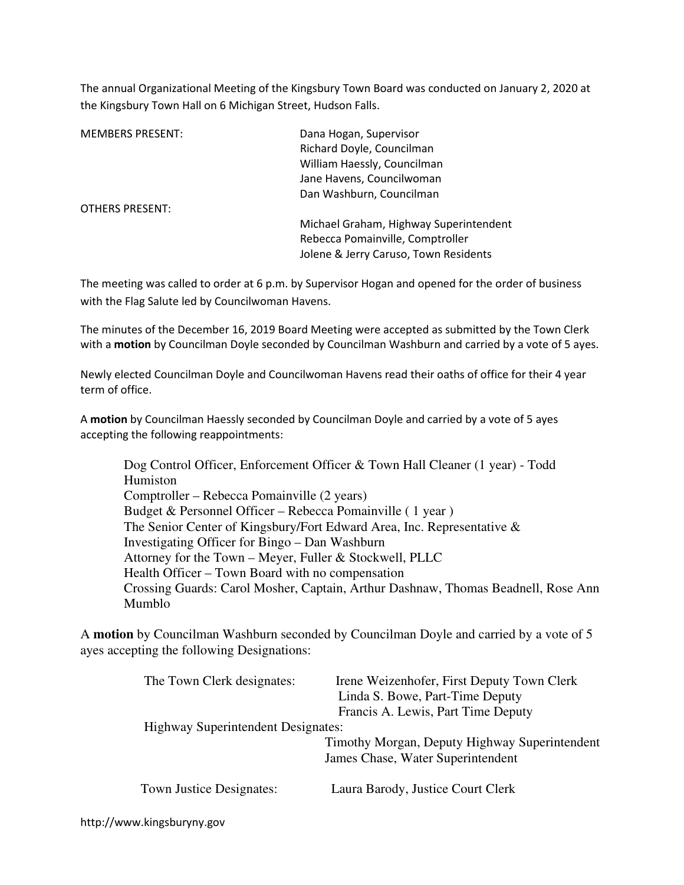The annual Organizational Meeting of the Kingsbury Town Board was conducted on January 2, 2020 at the Kingsbury Town Hall on 6 Michigan Street, Hudson Falls.

| <b>MEMBERS PRESENT:</b><br>Dana Hogan, Supervisor |  |  |
|---------------------------------------------------|--|--|
| Richard Doyle, Councilman                         |  |  |
| William Haessly, Councilman                       |  |  |
| Jane Havens, Councilwoman                         |  |  |
| Dan Washburn, Councilman                          |  |  |
| <b>OTHERS PRESENT:</b>                            |  |  |
| Michael Graham, Highway Superintendent            |  |  |
| Rebecca Pomainville, Comptroller                  |  |  |
| Jolene & Jerry Caruso, Town Residents             |  |  |

The meeting was called to order at 6 p.m. by Supervisor Hogan and opened for the order of business with the Flag Salute led by Councilwoman Havens.

The minutes of the December 16, 2019 Board Meeting were accepted as submitted by the Town Clerk with a motion by Councilman Doyle seconded by Councilman Washburn and carried by a vote of 5 ayes.

Newly elected Councilman Doyle and Councilwoman Havens read their oaths of office for their 4 year term of office.

A motion by Councilman Haessly seconded by Councilman Doyle and carried by a vote of 5 ayes accepting the following reappointments:

 Dog Control Officer, Enforcement Officer & Town Hall Cleaner (1 year) - Todd Humiston Comptroller – Rebecca Pomainville (2 years) Budget & Personnel Officer – Rebecca Pomainville ( 1 year ) The Senior Center of Kingsbury/Fort Edward Area, Inc. Representative & Investigating Officer for Bingo – Dan Washburn Attorney for the Town – Meyer, Fuller & Stockwell, PLLC Health Officer – Town Board with no compensation Crossing Guards: Carol Mosher, Captain, Arthur Dashnaw, Thomas Beadnell, Rose Ann Mumblo

A **motion** by Councilman Washburn seconded by Councilman Doyle and carried by a vote of 5 ayes accepting the following Designations:

| The Town Clerk designates:                | Irene Weizenhofer, First Deputy Town Clerk    |
|-------------------------------------------|-----------------------------------------------|
|                                           | Linda S. Bowe, Part-Time Deputy               |
|                                           | Francis A. Lewis, Part Time Deputy            |
| <b>Highway Superintendent Designates:</b> |                                               |
|                                           | Timothy Morgan, Deputy Highway Superintendent |
|                                           | James Chase, Water Superintendent             |
| Town Justice Designates:                  | Laura Barody, Justice Court Clerk             |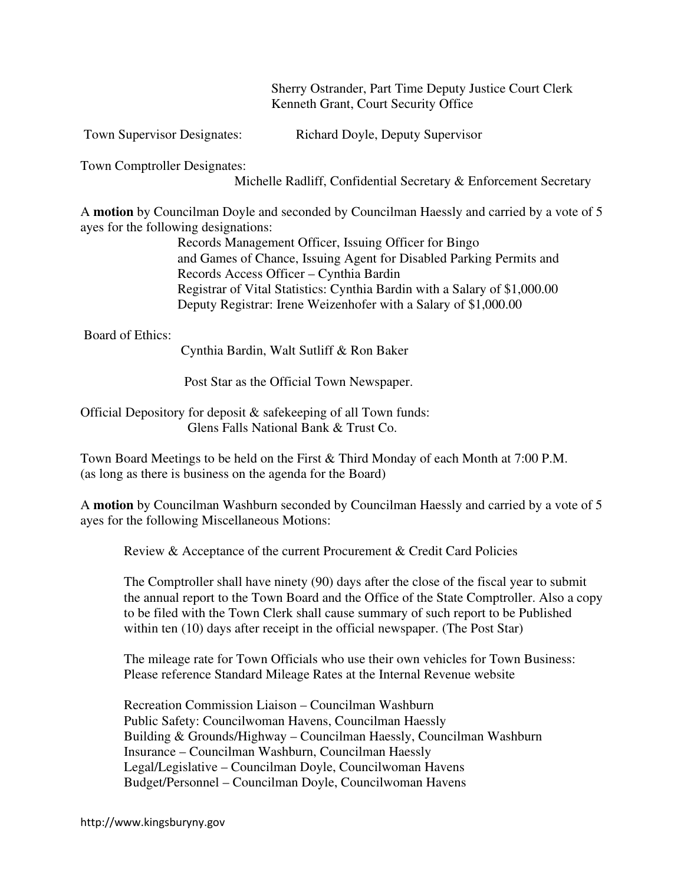Sherry Ostrander, Part Time Deputy Justice Court Clerk Kenneth Grant, Court Security Office

Town Supervisor Designates: Richard Doyle, Deputy Supervisor

Town Comptroller Designates:

Michelle Radliff, Confidential Secretary & Enforcement Secretary

A **motion** by Councilman Doyle and seconded by Councilman Haessly and carried by a vote of 5 ayes for the following designations:

> Records Management Officer, Issuing Officer for Bingo and Games of Chance, Issuing Agent for Disabled Parking Permits and Records Access Officer – Cynthia Bardin Registrar of Vital Statistics: Cynthia Bardin with a Salary of \$1,000.00 Deputy Registrar: Irene Weizenhofer with a Salary of \$1,000.00

Board of Ethics:

Cynthia Bardin, Walt Sutliff & Ron Baker

Post Star as the Official Town Newspaper.

Official Depository for deposit & safekeeping of all Town funds: Glens Falls National Bank & Trust Co.

Town Board Meetings to be held on the First & Third Monday of each Month at 7:00 P.M. (as long as there is business on the agenda for the Board)

A **motion** by Councilman Washburn seconded by Councilman Haessly and carried by a vote of 5 ayes for the following Miscellaneous Motions:

Review & Acceptance of the current Procurement & Credit Card Policies

The Comptroller shall have ninety (90) days after the close of the fiscal year to submit the annual report to the Town Board and the Office of the State Comptroller. Also a copy to be filed with the Town Clerk shall cause summary of such report to be Published within ten (10) days after receipt in the official newspaper. (The Post Star)

The mileage rate for Town Officials who use their own vehicles for Town Business: Please reference Standard Mileage Rates at the Internal Revenue website

 Recreation Commission Liaison – Councilman Washburn Public Safety: Councilwoman Havens, Councilman Haessly Building & Grounds/Highway – Councilman Haessly, Councilman Washburn Insurance – Councilman Washburn, Councilman Haessly Legal/Legislative – Councilman Doyle, Councilwoman Havens Budget/Personnel – Councilman Doyle, Councilwoman Havens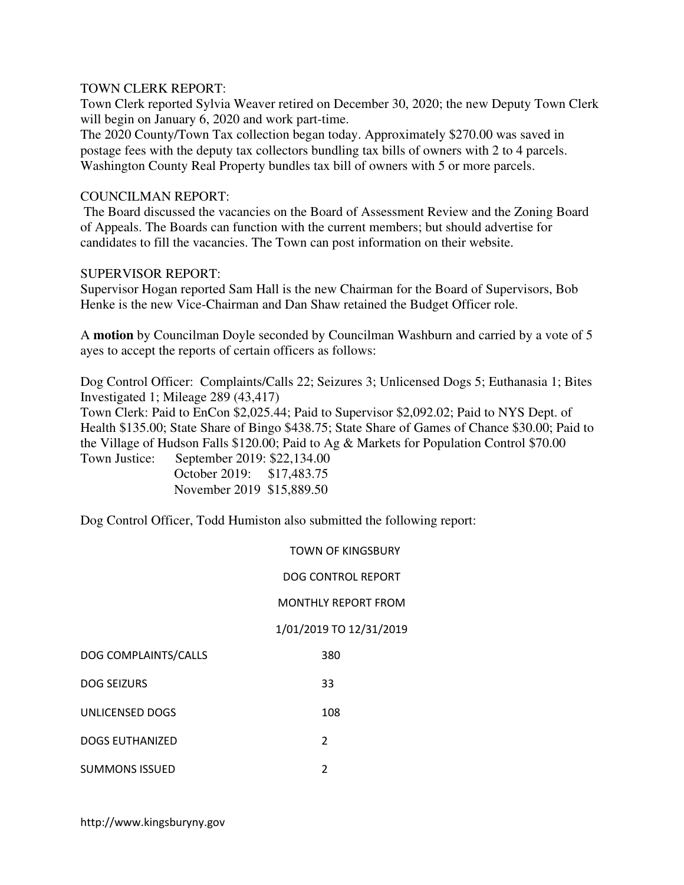### TOWN CLERK REPORT:

Town Clerk reported Sylvia Weaver retired on December 30, 2020; the new Deputy Town Clerk will begin on January 6, 2020 and work part-time.

The 2020 County/Town Tax collection began today. Approximately \$270.00 was saved in postage fees with the deputy tax collectors bundling tax bills of owners with 2 to 4 parcels. Washington County Real Property bundles tax bill of owners with 5 or more parcels.

## COUNCILMAN REPORT:

 The Board discussed the vacancies on the Board of Assessment Review and the Zoning Board of Appeals. The Boards can function with the current members; but should advertise for candidates to fill the vacancies. The Town can post information on their website.

# SUPERVISOR REPORT:

Supervisor Hogan reported Sam Hall is the new Chairman for the Board of Supervisors, Bob Henke is the new Vice-Chairman and Dan Shaw retained the Budget Officer role.

A **motion** by Councilman Doyle seconded by Councilman Washburn and carried by a vote of 5 ayes to accept the reports of certain officers as follows:

Dog Control Officer: Complaints/Calls 22; Seizures 3; Unlicensed Dogs 5; Euthanasia 1; Bites Investigated 1; Mileage 289 (43,417)

Town Clerk: Paid to EnCon \$2,025.44; Paid to Supervisor \$2,092.02; Paid to NYS Dept. of Health \$135.00; State Share of Bingo \$438.75; State Share of Games of Chance \$30.00; Paid to the Village of Hudson Falls \$120.00; Paid to Ag & Markets for Population Control \$70.00 Town Justice: September 2019: \$22,134.00

| TOWIL JUSTICE. | $\sum_{i=1}^{n}$          |  |
|----------------|---------------------------|--|
|                | October 2019: \$17,483.75 |  |
|                | November 2019 \$15,889.50 |  |

Dog Control Officer, Todd Humiston also submitted the following report:

DOG CONTROL REPORT

### MONTHLY REPORT FROM

### 1/01/2019 TO 12/31/2019

| DOG COMPLAINTS/CALLS | 380 |
|----------------------|-----|
|----------------------|-----|

DOG SEIZURS 33

UNLICENSED DOGS 108

DOGS EUTHANIZED 2

SUMMONS ISSUED 2

http://www.kingsburyny.gov